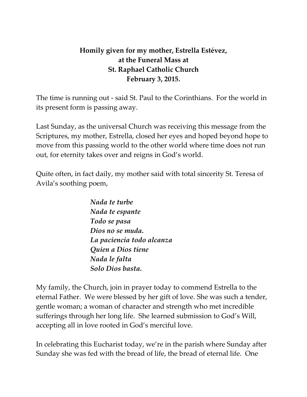## **Homily given for my mother, Estrella Estévez, at the Funeral Mass at St. Raphael Catholic Church February 3, 2015.**

The time is running out - said St. Paul to the Corinthians. For the world in its present form is passing away.

Last Sunday, as the universal Church was receiving this message from the Scriptures, my mother, Estrella, closed her eyes and hoped beyond hope to move from this passing world to the other world where time does not run out, for eternity takes over and reigns in God's world.

Quite often, in fact daily, my mother said with total sincerity St. Teresa of Avila's soothing poem,

> *Nada te turbe Nada te espante Todo se pasa Dios no se muda. La paciencia todo alcanza Quien a Dios tiene Nada le falta Solo Dios basta.*

My family, the Church, join in prayer today to commend Estrella to the eternal Father. We were blessed by her gift of love. She was such a tender, gentle woman; a woman of character and strength who met incredible sufferings through her long life. She learned submission to God's Will, accepting all in love rooted in God's merciful love.

In celebrating this Eucharist today, we're in the parish where Sunday after Sunday she was fed with the bread of life, the bread of eternal life. One